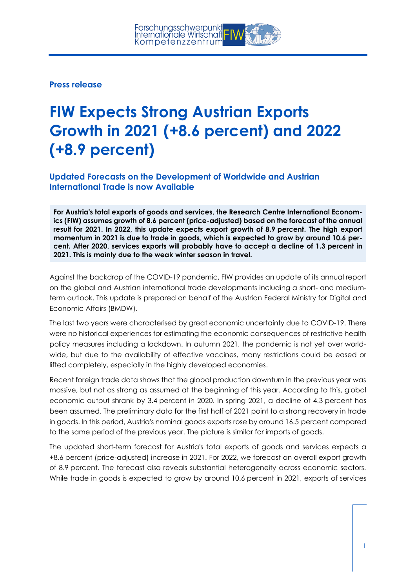**Press release**

## **FIW Expects Strong Austrian Exports Growth in 2021 (+8.6 percent) and 2022 (+8.9 percent)**

**Updated Forecasts on the Development of Worldwide and Austrian International Trade is now Available**

**For Austria's total exports of goods and services, the Research Centre International Economics (FIW) assumes growth of 8.6 percent (price-adjusted) based on the forecast of the annual result for 2021. In 2022, this update expects export growth of 8.9 percent. The high export momentum in 2021 is due to trade in goods, which is expected to grow by around 10.6 percent. After 2020, services exports will probably have to accept a decline of 1.3 percent in 2021. This is mainly due to the weak winter season in travel.**

Against the backdrop of the COVID-19 pandemic, FIW provides an update of its annual report on the global and Austrian international trade developments including a short- and mediumterm outlook. This update is prepared on behalf of the Austrian Federal Ministry for Digital and Economic Affairs (BMDW).

The last two years were characterised by great economic uncertainty due to COVID-19. There were no historical experiences for estimating the economic consequences of restrictive health policy measures including a lockdown. In autumn 2021, the pandemic is not yet over worldwide, but due to the availability of effective vaccines, many restrictions could be eased or lifted completely, especially in the highly developed economies.

Recent foreign trade data shows that the global production downturn in the previous year was massive, but not as strong as assumed at the beginning of this year. According to this, global economic output shrank by 3.4 percent in 2020. In spring 2021, a decline of 4.3 percent has been assumed. The preliminary data for the first half of 2021 point to a strong recovery in trade in goods. In this period, Austria's nominal goods exports rose by around 16.5 percent compared to the same period of the previous year. The picture is similar for imports of goods.

The updated short-term forecast for Austria's total exports of goods and services expects a +8.6 percent (price-adjusted) increase in 2021. For 2022, we forecast an overall export growth of 8.9 percent. The forecast also reveals substantial heterogeneity across economic sectors. While trade in goods is expected to grow by ground 10.6 percent in 2021, exports of services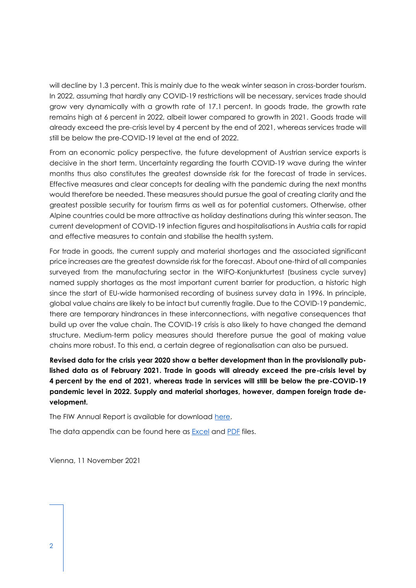will decline by 1.3 percent. This is mainly due to the weak winter season in cross-border tourism. In 2022, assuming that hardly any COVID-19 restrictions will be necessary, services trade should grow very dynamically with a growth rate of 17.1 percent. In goods trade, the growth rate remains high at 6 percent in 2022, albeit lower compared to growth in 2021. Goods trade will already exceed the pre-crisis level by 4 percent by the end of 2021, whereas services trade will still be below the pre-COVID-19 level at the end of 2022.

From an economic policy perspective, the future development of Austrian service exports is decisive in the short term. Uncertainty regarding the fourth COVID-19 wave during the winter months thus also constitutes the greatest downside risk for the forecast of trade in services. Effective measures and clear concepts for dealing with the pandemic during the next months would therefore be needed. These measures should pursue the goal of creating clarity and the greatest possible security for tourism firms as well as for potential customers. Otherwise, other Alpine countries could be more attractive as holiday destinations during this winter season. The current development of COVID-19 infection figures and hospitalisations in Austria calls for rapid and effective measures to contain and stabilise the health system.

For trade in goods, the current supply and material shortages and the associated significant price increases are the greatest downside risk for the forecast. About one-third of all companies surveyed from the manufacturing sector in the WIFO-Konjunkturtest (business cycle survey) named supply shortages as the most important current barrier for production, a historic high since the start of EU-wide harmonised recording of business survey data in 1996. In principle, global value chains are likely to be intact but currently fragile. Due to the COVID-19 pandemic, there are temporary hindrances in these interconnections, with negative consequences that build up over the value chain. The COVID-19 crisis is also likely to have changed the demand structure. Medium-term policy measures should therefore pursue the goal of making value chains more robust. To this end, a certain degree of regionalisation can also be pursued.

**Revised data for the crisis year 2020 show a better development than in the provisionally published data as of February 2021. Trade in goods will already exceed the pre-crisis level by 4 percent by the end of 2021, whereas trade in services will still be below the pre-COVID-19 pandemic level in 2022. Supply and material shortages, however, dampen foreign trade development.**

The FIW Annual Report is available for download [here.](https://fiw.ac.at/fileadmin/Documents/Publikationen/Jahresgutachten_2021/Update_November_2021/FIW_Jahresgutachten_Update2021_FINAL.pdf)

The data appendix can be found here as **Excel and [PDF](https://fiw.ac.at/fileadmin/Documents/Publikationen/Jahresgutachten_2021/Update_November_2021/Datenappendix_update2021_FINAL_Print.pdf)** files.

Vienna, 11 November 2021